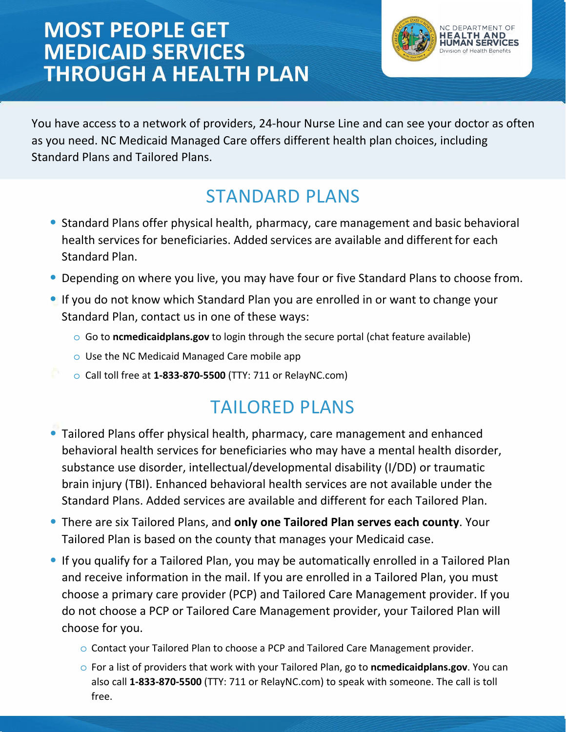# **MOST PEOPLE GET MEDICAID SERVICES THROUGH A HEALTH PLAN**



You have access to a network of providers, 24-hour Nurse Line and can see your doctor as often as you need. NC Medicaid Managed Care offers different health plan choices, including Standard Plans and Tailored Plans. 

### STANDARD PLANS

- Standard Plans offer physical health, pharmacy, care management and basic behavioral health services for beneficiaries. Added services are available and different for each Standard Plan.
- Depending on where you live, you may have four or five Standard Plans to choose from.
- If you do not know which Standard Plan you are enrolled in or want to change your Standard Plan, contact us in one of these ways:
	- o Go to **ncmedicaidplans.gov** to login through the secure portal (chat feature available)
	- o Use the NC Medicaid Managed Care mobile app
	- o Call toll free at **1-833-870-5500** (TTY: 711 or RelayNC.com)

## TAILORED PLANS

- Tailored Plans offer physical health, pharmacy, care management and enhanced behavioral health services for beneficiaries who may have a mental health disorder, substance use disorder, intellectual/developmental disability (I/DD) or traumatic brain injury (TBI). Enhanced behavioral health services are not available under the Standard Plans. Added services are available and different for each Tailored Plan.
- There are six Tailored Plans, and **only one Tailored Plan serves each county**. Your Tailored Plan is based on the county that manages your Medicaid case.
- If you qualify for a Tailored Plan, you may be automatically enrolled in a Tailored Plan and receive information in the mail. If you are enrolled in a Tailored Plan, you must choose a primary care provider (PCP) and Tailored Care Management provider. If you do not choose a PCP or Tailored Care Management provider, your Tailored Plan will choose for you.
	- o Contact your Tailored Plan to choose a PCP and Tailored Care Management provider.
	- o For a list of providers that work with your Tailored Plan, go to **ncmedicaidplans.gov**. You can also call **1-833-870-5500** (TTY: 711 or RelayNC.com) to speak with someone. The call is toll free.